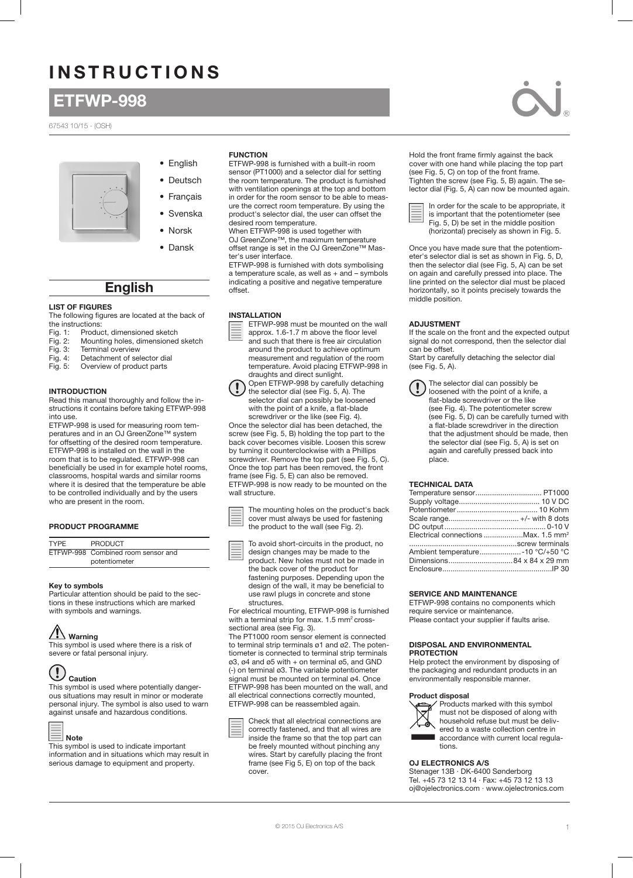# INSTRUCTIONS

# ETFWP-998

67543 10/15 - (OSH)



• Norsk • Dansk

• English • Deutsch • Français • Svenska

# English

# LIST OF FIGURES

The following figures are located at the back of the instructions:<br>Fig. 1: Produ

- Fig. 1: Product, dimensioned sketch<br>Fig. 2: Mounting holes, dimensioned
- Mounting holes, dimensioned sketch
- Fig. 3: Terminal overview Fig. 4: Detachment of selector dial
- Fig. 5: Overview of product parts
- 

# INTRODUCTION

Read this manual thoroughly and follow the instructions it contains before taking ETFWP-998 into use.

ETFWP-998 is used for measuring room temperatures and in an OJ GreenZone™ system for offsetting of the desired room temperature. ETFWP-998 is installed on the wall in the room that is to be regulated. ETFWP-998 can beneficially be used in for example hotel rooms, classrooms, hospital wards and similar rooms where it is desired that the temperature be able to be controlled individually and by the users who are present in the room.

### PRODUCT PROGRAMME

| <b>TYPF</b> | <b>PRODUCT</b>                     |
|-------------|------------------------------------|
|             | ETFWP-998 Combined room sensor and |
|             | potentiometer                      |

#### Key to symbols

Particular attention should be paid to the sections in these instructions which are marked with symbols and warnings.

# $\sqrt{!}$  Warning

This symbol is used where there is a risk of severe or fatal personal injury.

#### $\left(\begin{smallmatrix} 1\\ \bullet \end{smallmatrix}\right)$ Caution

Note

This symbol is used where potentially dangerous situations may result in minor or moderate personal injury. The symbol is also used to warn against unsafe and hazardous conditions.



This symbol is used to indicate important information and in situations which may result in serious damage to equipment and property.

# FUNCTION

ETFWP-998 is furnished with a built-in room sensor (PT1000) and a selector dial for setting

the room temperature. The product is furnished with ventilation openings at the top and bottom in order for the room sensor to be able to meas-

ure the correct room temperature. By using the product's selector dial, the user can offset the desired room temperature.

When ETFWP-998 is used together with

OJ GreenZone™, the maximum temperature offset range is set in the OJ GreenZone™ Master's user interface.

ETFWP-998 is furnished with dots symbolising a temperature scale, as well as + and – symbols indicating a positive and negative temperature offset.

# INSTALLATION



ETFWP-998 must be mounted on the wall approx. 1.6-1.7 m above the floor level and such that there is free air circulation



measurement and regulation of the room temperature. Avoid placing ETFWP-998 in draughts and direct sunlight. Open ETFWP-998 by carefully detaching the selector dial (see Fig. 5, A). The

around the product to achieve optimum

selector dial can possibly be loosened

with the point of a knife, a flat-blade screwdriver or the like (see Fig. 4). Once the selector dial has been detached, the screw (see Fig. 5, B) holding the top part to the back cover becomes visible. Loosen this screw by turning it counterclockwise with a Phillips screwdriver. Remove the top part (see Fig. 5, C). Once the top part has been removed, the front frame (see Fig. 5, E) can also be removed. ETFWP-998 is now ready to be mounted on the wall structure.

The mounting holes on the product's back cover must always be used for fastening the product to the wall (see Fig. 2).

To avoid short-circuits in the product, no design changes may be made to the product. New holes must not be made in

the back cover of the product for fastening purposes. Depending upon the design of the wall, it may be beneficial to use rawl plugs in concrete and stone structures.

For electrical mounting, ETFWP-998 is furnished with a terminal strip for max. 1.5 mm<sup>2</sup> crosssectional area (see Fig. 3).

The PT1000 room sensor element is connected to terminal strip terminals ø1 and ø2. The potentiometer is connected to terminal strip terminals ø3, ø4 and ø5 with + on terminal ø5, and GND (-) on terminal ø3. The variable potentiometer signal must be mounted on terminal ø4. Once ETFWP-998 has been mounted on the wall, and all electrical connections correctly mounted, ETFWP-998 can be reassembled again.



Hold the front frame firmly against the back cover with one hand while placing the top part (see Fig. 5, C) on top of the front frame. Tighten the screw (see Fig. 5, B) again. The selector dial (Fig. 5, A) can now be mounted again.



In order for the scale to be appropriate, it is important that the potentiometer (see Fig. 5, D) be set in the middle position (horizontal) precisely as shown in Fig. 5.

Once you have made sure that the potentiometer's selector dial is set as shown in Fig. 5, D, then the selector dial (see Fig. 5, A) can be set on again and carefully pressed into place. The line printed on the selector dial must be placed horizontally, so it points precisely towards the middle position.

# ADJUSTMENT

If the scale on the front and the expected output signal do not correspond, then the selector dial can be offset.

Start by carefully detaching the selector dial (see Fig. 5, A).

The selector dial can possibly be loosened with the point of a knife, a flat-blade screwdriver or the like (see Fig. 4). The potentiometer screw (see Fig. 5, D) can be carefully turned with a flat-blade screwdriver in the direction that the adjustment should be made, then the selector dial (see Fig. 5, A) is set on again and carefully pressed back into place.

### TECHNICAL DATA

| Electrical connections Max, 1.5 mm <sup>2</sup> |  |
|-------------------------------------------------|--|
|                                                 |  |
| Ambient temperature-10 °C/+50 °C                |  |
|                                                 |  |
|                                                 |  |
|                                                 |  |

### SERVICE AND MAINTENANCE

ETFWP-998 contains no components which require service or maintenance. Please contact your supplier if faults arise.

#### DISPOSAL AND ENVIRONMENTAL PROTECTION

Help protect the environment by disposing of the packaging and redundant products in an environmentally responsible manner.

### Product disposal



Products marked with this symbol must not be disposed of along with household refuse but must be delivered to a waste collection centre in accordance with current local regulations.

# OJ ELECTRONICS A/S

Stenager 13B · DK-6400 Sønderborg Tel. +45 73 12 13 14 · Fax: +45 73 12 13 13 oj@ojelectronics.com · www.ojelectronics.com

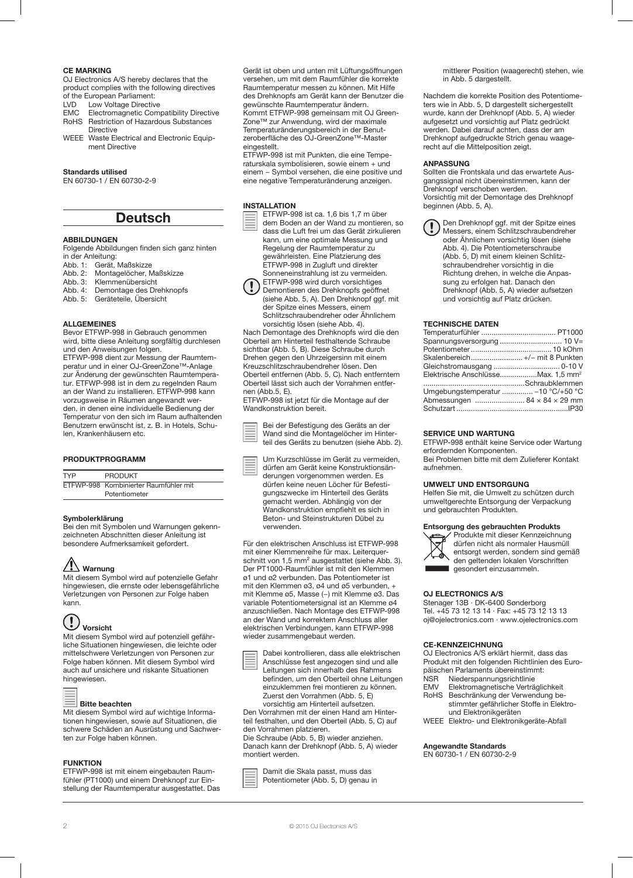# CE MARKING

OJ Electronics A/S hereby declares that the product complies with the following directives of the European Parliament:

- LVD Low Voltage Directive<br>FMC Flectromagnetic Com
- Electromagnetic Compatibility Directive
- RoHS Restriction of Hazardous Substances **Directive**
- WEEE Waste Electrical and Electronic Equipment Directive

# Standards utilised

EN 60730-1 / EN 60730-2-9

# Deutsch

#### ABBILDUNGEN

Folgende Abbildungen finden sich ganz hinten in der Anleitung:

- Abb. 1: Gerät, Maßskizze
- Abb. 2: Montagelöcher, Maßskizze<br>Abb. 3: Klemmenübersicht
- Abb. 3: Klemmenübersicht<br>Abb. 3: Klemmenübersicht<br>Abb. 4: Demontage des Dr
- Abb. 4: Demontage des Drehknopfs<br>Abb. 5: Geräteteile, Übersicht
- Abb. 5: Geräteteile, Übersicht

# ALLGEMEINES

Bevor ETFWP-998 in Gebrauch genommen wird, bitte diese Anleitung sorgfältig durchlesen und den Anweisungen folgen.

ETFWP-998 dient zur Messung der Raumtemperatur und in einer OJ-GreenZone™-Anlage zur Änderung der gewünschten Raumtemperatur. ETFWP-998 ist in dem zu regelnden Raum an der Wand zu installieren. ETFWP-998 kann vorzugsweise in Räumen angewandt werden, in denen eine individuelle Bedienung der Temperatur von den sich im Raum aufhaltenden Benutzern erwünscht ist, z. B. in Hotels, Schulen, Krankenhäusern etc.

#### PRODUKTPROGRAMM

| TYP | <b>PRODUKT</b>                        |
|-----|---------------------------------------|
|     | ETFWP-998 Kombinierter Raumfühler mit |
|     | Potentiometer                         |

# Symbolerklärung

Bei den mit Symbolen und Warnungen gekennzeichneten Abschnitten dieser Anleitung ist besondere Aufmerksamkeit gefordert.

# Warnung

Mit diesem Symbol wird auf potenzielle Gefahr hingewiesen, die ernste oder lebensgefährliche Verletzungen von Personen zur Folge haben kann.



#### Mit diesem Symbol wird auf potenziell gefährliche Situationen hingewiesen, die leichte oder mittelschwere Verletzungen von Personen zur Folge haben können. Mit diesem Symbol wird auch auf unsichere und riskante Situationen

| ___ |  |
|-----|--|
| ___ |  |
| __  |  |
|     |  |

hingewiesen.

#### Bitte beachten

Mit diesem Symbol wird auf wichtige Informationen hingewiesen, sowie auf Situationen, die schwere Schäden an Ausrüstung und Sachwerten zur Folge haben können.

#### FUNKTION

ETFWP-998 ist mit einem eingebauten Raumfühler (PT1000) und einem Drehknopf zur Einstellung der Raumtemperatur ausgestattet. Das Gerät ist oben und unten mit Lüftungsöffnungen versehen, um mit dem Raumfühler die korrekte Raumtemperatur messen zu können. Mit Hilfe des Drehknopfs am Gerät kann der Benutzer die gewünschte Raumtemperatur ändern. Kommt ETFWP-998 gemeinsam mit OJ Green-Zone™ zur Anwendung, wird der maximale Temperaturänderungsbereich in der Benutzeroberfläche des OJ-GreenZone™-Master eingestellt.

ETFWP-998 ist mit Punkten, die eine Temperaturskala symbolisieren, sowie einem + und einem − Symbol versehen, die eine positive und eine negative Temperaturänderung anzeigen.

# INSTALLATION



dem Boden an der Wand zu montieren, so dass die Luft frei um das Gerät zirkulieren kann, um eine optimale Messung und Regelung der Raumtemperatur zu gewährleisten. Eine Platzierung des ETFWP-998 in Zugluft und direkter Sonneneinstrahlung ist zu vermeiden. ETFWP-998 wird durch vorsichtiges

Demontieren des Drehknopfs geöffnet (siehe Abb. 5, A). Den Drehknopf ggf. mit der Spitze eines Messers, einem Schlitzschraubendreher oder Ähnlichem vorsichtig lösen (siehe Abb. 4).

Nach Demontage des Drehknopfs wird die den Oberteil am Hinterteil festhaltende Schraube sichtbar (Abb. 5, B). Diese Schraube durch Drehen gegen den Uhrzeigersinn mit einem Kreuzschlitzschraubendreher lösen. Den Oberteil entfernen (Abb. 5, C). Nach entferntem Oberteil lässt sich auch der Vorrahmen entfernen (Abb.5, E).

ETFWP-998 ist jetzt für die Montage auf der Wandkonstruktion bereit.

Bei der Befestigung des Geräts an der Wand sind die Montagelöcher im Hinterteil des Geräts zu benutzen (siehe Abb. 2).

Um Kurzschlüsse im Gerät zu vermeiden, dürfen am Gerät keine Konstruktionsänderungen vorgenommen werden. Es dürfen keine neuen Löcher für Befestigungszwecke im Hinterteil des Geräts gemacht werden. Abhängig von der Wandkonstruktion empfiehlt es sich in Beton- und Steinstrukturen Dübel zu verwenden.

Für den elektrischen Anschluss ist ETFWP-998 mit einer Klemmenreihe für max. Leiterquerschnitt von 1,5 mm<sup>2</sup> ausgestattet (siehe Abb. 3). Der PT1000-Raumfühler ist mit den Klemmen ø1 und ø2 verbunden. Das Potentiometer ist mit den Klemmen ø3, ø4 und ø5 verbunden, + mit Klemme ø5, Masse (−) mit Klemme ø3. Das variable Potentiometersignal ist an Klemme ø4 anzuschließen. Nach Montage des ETFWP-998 an der Wand und korrektem Anschluss aller elektrischen Verbindungen, kann ETFWP-998 wieder zusammengebaut werden.



Dabei kontrollieren, dass alle elektrischen Anschlüsse fest angezogen sind und alle Leitungen sich innerhalb des Rahmens befinden, um den Oberteil ohne Leitungen einzuklemmen frei montieren zu können. Zuerst den Vorrahmen (Abb. 5, E)

vorsichtig am Hinterteil aufsetzen. Den Vorrahmen mit der einen Hand am Hinterteil festhalten, und den Oberteil (Abb. 5, C) auf den Vorrahmen platzieren.

Die Schraube (Abb. 5, B) wieder anziehen. Danach kann der Drehknopf (Abb. 5, A) wieder montiert werden.

Damit die Skala passt, muss das Potentiometer (Abb. 5, D) genau in mittlerer Position (waagerecht) stehen, wie in Abb. 5 dargestellt.

Nachdem die korrekte Position des Potentiometers wie in Abb. 5, D dargestellt sichergestellt wurde, kann der Drehknopf (Abb. 5, A) wieder aufgesetzt und vorsichtig auf Platz gedrückt werden. Dabei darauf achten, dass der am Drehknopf aufgedruckte Strich genau waagerecht auf die Mittelposition zeigt.

#### ANPASSUNG

Sollten die Frontskala und das erwartete Ausgangssignal nicht übereinstimmen, kann der Drehknopf verschoben werden. Vorsichtig mit der Demontage des Drehknopf beginnen (Abb. 5, A).

Den Drehknopf ggf. mit der Spitze eines Messers, einem Schlitzschraubendreher oder Ähnlichem vorsichtig lösen (siehe Abb. 4). Die Potentiometerschraube (Abb. 5, D) mit einem kleinen Schlitzschraubendreher vorsichtig in die Richtung drehen, in welche die Anpassung zu erfolgen hat. Danach den Drehknopf (Abb. 5, A) wieder aufsetzen und vorsichtig auf Platz drücken.

#### TECHNISCHE DATEN

| Skalenbereich +/- mit 8 Punkten                |  |
|------------------------------------------------|--|
|                                                |  |
| Elektrische AnschlüsseMax. 1,5 mm <sup>2</sup> |  |
|                                                |  |
| Umgebungstemperatur -10 °C/+50 °C              |  |
| Abmessungen  84 × 84 × 29 mm                   |  |
|                                                |  |

# SERVICE UND WARTUNG

ETFWP-998 enthält keine Service oder Wartung erfordernden Komponenten. Bei Problemen bitte mit dem Zulieferer Kontakt aufnehmen.

### UMWELT UND ENTSORGUNG

Helfen Sie mit, die Umwelt zu schützen durch umweltgerechte Entsorgung der Verpackung und gebrauchten Produkten.

#### Entsorgung des gebrauchten Produkts



Produkte mit dieser Kennzeichnung dürfen nicht als normaler Hausmüll entsorgt werden, sondern sind gemäß den geltenden lokalen Vorschriften gesondert einzusammeln.

#### OJ ELECTRONICS A/S

Stenager 13B · DK-6400 Sønderborg Tel. +45 73 12 13 14 · Fax: +45 73 12 13 13 oj@ojelectronics.com · www.ojelectronics.com

### CE-KENNZEICHNUNG

OJ Electronics A/S erklärt hiermit, dass das Produkt mit den folgenden Richtlinien des Europäischen Parlaments übereinstimmt:<br>NSR Niederspannungsrichtlinie

- NSR Niederspannungsrichtlinie<br>EMV Elektromagnetische Verträ
- EMV Elektromagnetische Verträglichkeit<br>RoHS Beschränkung der Verwendung be
- Beschränkung der Verwendung bestimmter gefährlicher Stoffe in Elektround Elektronikgeräten

WEEE Elektro- und Elektronikgeräte-Abfall

### Angewandte Standards

EN 60730-1 / EN 60730-2-9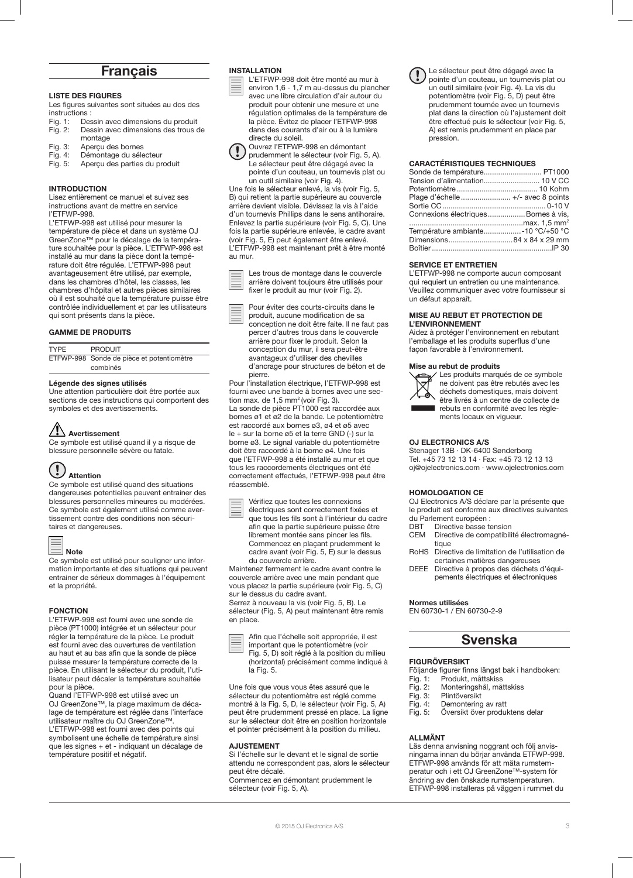# Français

# LISTE DES FIGURES

Les figures suivantes sont situées au dos des instructions :

- Fig. 1: Dessin avec dimensions du produit<br>Fig. 2: Dessin avec dimensions des trous d Dessin avec dimensions des trous de montage
- 
- Fig. 3: Aperçu des bornes<br>Fig. 4: Démontage du séle
- Fig. 4: Démontage du sélecteur<br>Fig. 5: Apercu des parties du pr Apercu des parties du produit

# INTRODUCTION

Lisez entièrement ce manuel et suivez ses instructions avant de mettre en service l'ETFWP-998.

L'ETFWP-998 est utilisé pour mesurer la température de pièce et dans un système OJ GreenZone™ pour le décalage de la température souhaitée pour la pièce. L'ETFWP-998 est installé au mur dans la pièce dont la température doit être régulée. L'ETFWP-998 peut avantageusement être utilisé, par exemple, dans les chambres d'hôtel, les classes, les chambres d'hôpital et autres pièces similaires où il est souhaité que la température puisse être contrôlée individuellement et par les utilisateurs qui sont présents dans la pièce.

#### GAMME DE PRODUITS

| <b>TYPF</b> | <b>PRODUIT</b>                            |
|-------------|-------------------------------------------|
|             | ETFWP-998 Sonde de pièce et potentiomètre |
|             | combinés                                  |

#### Légende des signes utilisés

Une attention particulière doit être portée aux sections de ces instructions qui comportent des symboles et des avertissements.

# Avertissement

Ce symbole est utilisé quand il y a risque de blessure personnelle sévère ou fatale.

#### $\left(\begin{smallmatrix} 1\\ 1\end{smallmatrix}\right)$ Attention

Ce symbole est utilisé quand des situations dangereuses potentielles peuvent entrainer des blessures personnelles mineures ou modérées. Ce symbole est également utilisé comme avertissement contre des conditions non sécuritaires et dangereuses.

# Note

Ce symbole est utilisé pour souligner une information importante et des situations qui peuvent entrainer de sérieux dommages à l'équipement et la propriété.

### FONCTION

L'ETFWP-998 est fourni avec une sonde de pièce (PT1000) intégrée et un sélecteur pour régler la température de la pièce. Le produit est fourni avec des ouvertures de ventilation au haut et au bas afin que la sonde de pièce puisse mesurer la température correcte de la pièce. En utilisant le sélecteur du produit, l'utilisateur peut décaler la température souhaitée pour la pièce.

Quand l'ETFWP-998 est utilisé avec un OJ GreenZone™, la plage maximum de décalage de température est réglée dans l'interface utilisateur maître du OJ GreenZone™.

L'ETFWP-998 est fourni avec des points qui symbolisent une échelle de température ainsi que les signes + et - indiquant un décalage de température positif et négatif.

# INSTALLATION

L'ETFWP-998 doit être monté au mur à environ 1,6 - 1,7 m au-dessus du plancher avec une libre circulation d'air autour du produit pour obtenir une mesure et une régulation optimales de la température de la pièce. Évitez de placer l'ETFWP-998 dans des courants d'air ou à la lumière directe du soleil.



Ouvrez l'ETFWP-998 en démontant prudemment le sélecteur (voir Fig. 5, A). Le sélecteur peut être dégagé avec la pointe d'un couteau, un tournevis plat ou un outil similaire (voir Fig. 4).

Une fois le sélecteur enlevé, la vis (voir Fig. 5, B) qui retient la partie supérieure au couvercle arrière devient visible. Dévissez la vis à l'aide d'un tournevis Phillips dans le sens antihoraire. Enlevez la partie supérieure (voir Fig. 5, C). Une fois la partie supérieure enlevée, le cadre avant (voir Fig. 5, E) peut également être enlevé. L'ETFWP-998 est maintenant prêt à être monté au mur.

Les trous de montage dans le couvercle arrière doivent toujours être utilisés pour fixer le produit au mur (voir Fig. 2).

Pour éviter des courts-circuits dans le produit, aucune modification de sa conception ne doit être faite. ll ne faut pas percer d'autres trous dans le couvercle arrière pour fixer le produit. Selon la conception du mur, il sera peut-être avantageux d'utiliser des chevilles d'ancrage pour structures de béton et de pierre.

Pour l'installation électrique, l'ETFWP-998 est fourni avec une bande à bornes avec une section max. de  $1,5$  mm<sup>2</sup> (voir Fig. 3). La sonde de pièce PT1000 est raccordée aux bornes ø1 et ø2 de la bande. Le potentiomètre est raccordé aux bornes ø3, ø4 et ø5 avec le + sur la borne ø5 et la terre GND (-) sur la borne ø3. Le signal variable du potentiomètre doit être raccordé à la borne ø4. Une fois que l'ETFWP-998 a été installé au mur et que tous les raccordements électriques ont été correctement effectués, l'ETFWP-998 peut être réassemblé.

Vérifiez que toutes les connexions électriques sont correctement fixées et

que tous les fils sont à l'intérieur du cadre afin que la partie supérieure puisse être librement montée sans pincer les fils. Commencez en plaçant prudemment le cadre avant (voir Fig. 5, E) sur le dessus du couvercle arrière.

Maintenez fermement le cadre avant contre le couvercle arrière avec une main pendant que vous placez la partie supérieure (voir Fig. 5, C) sur le dessus du cadre avant.

Serrez à nouveau la vis (voir Fig. 5, B). Le sélecteur (Fig. 5, A) peut maintenant être remis en place.





Une fois que vous vous êtes assuré que le sélecteur du potentiomètre est réglé comme montré à la Fig. 5, D, le sélecteur (voir Fig. 5, A) peut être prudemment pressé en place. La ligne sur le sélecteur doit être en position horizontale et pointer précisément à la position du milieu.

### AJUSTEMENT

Si l'échelle sur le devant et le signal de sortie attendu ne correspondent pas, alors le sélecteur peut être décalé.

Commencez en démontant prudemment le sélecteur (voir Fig. 5, A).

Le sélecteur peut être dégagé avec la pointe d'un couteau, un tournevis plat ou un outil similaire (voir Fig. 4). La vis du potentiomètre (voir Fig. 5, D) peut être prudemment tournée avec un tournevis plat dans la direction où l'ajustement doit être effectué puis le sélecteur (voir Fig. 5, A) est remis prudemment en place par pression.

# CARACTÉRISTIQUES TECHNIQUES

| Sonde de température PT1000          |  |
|--------------------------------------|--|
|                                      |  |
|                                      |  |
|                                      |  |
|                                      |  |
| Connexions électriques Bornes à vis, |  |
|                                      |  |
| Température ambiante-10 °C/+50 °C    |  |
|                                      |  |
|                                      |  |

# SERVICE ET ENTRETIEN

L'ETFWP-998 ne comporte aucun composant qui requiert un entretien ou une maintenance. Veuillez communiquer avec votre fournisseur si un défaut apparaît.

# MISE AU REBUT ET PROTECTION DE L'ENVIRONNEMENT

Aidez à protéger l'environnement en rebutant l'emballage et les produits superflus d'une façon favorable à l'environnement.

#### Mise au rebut de produits



Les produits marqués de ce symbole ne doivent pas être rebutés avec les déchets domestiques, mais doivent être livrés à un centre de collecte de

rebuts en conformité avec les règlements locaux en vigueur.

#### OJ ELECTRONICS A/S

Stenager 13B · DK-6400 Sønderborg Tel. +45 73 12 13 14 · Fax: +45 73 12 13 13 oj@ojelectronics.com · www.ojelectronics.com

# HOMOLOGATION CE

OJ Electronics A/S déclare par la présente que le produit est conforme aux directives suivantes

- du Parlement européen :
- DBT Directive basse tension<br>CEM Directive de compatibili Directive de compatibilité électromagnétique
- RoHS Directive de limitation de l'utilisation de certaines matières dangereuses
- DEEE Directive à propos des déchets d'équipements électriques et électroniques

Normes utilisées

EN 60730-1 / EN 60730-2-9

# Svenska

# FIGURÖVERSIKT

Följande figurer finns längst bak i handboken:<br>Fig. 1: Produkt, måttskiss

- Fig. 1: Produkt, måttskiss<br>Fig. 2: Monteringshål, må
- Fig. 2: Monteringshål, måttskiss
- Plintöversikt
- Fig. 4: Demontering av ratt Fig. 5: Översikt över produktens delar
- ALLMÄNT

Läs denna anvisning noggrant och följ anvisningarna innan du börjar använda ETFWP-998. ETFWP-998 används för att mäta rumstemperatur och i ett OJ GreenZone™-system för ändring av den önskade rumstemperaturen. ETFWP-998 installeras på väggen i rummet du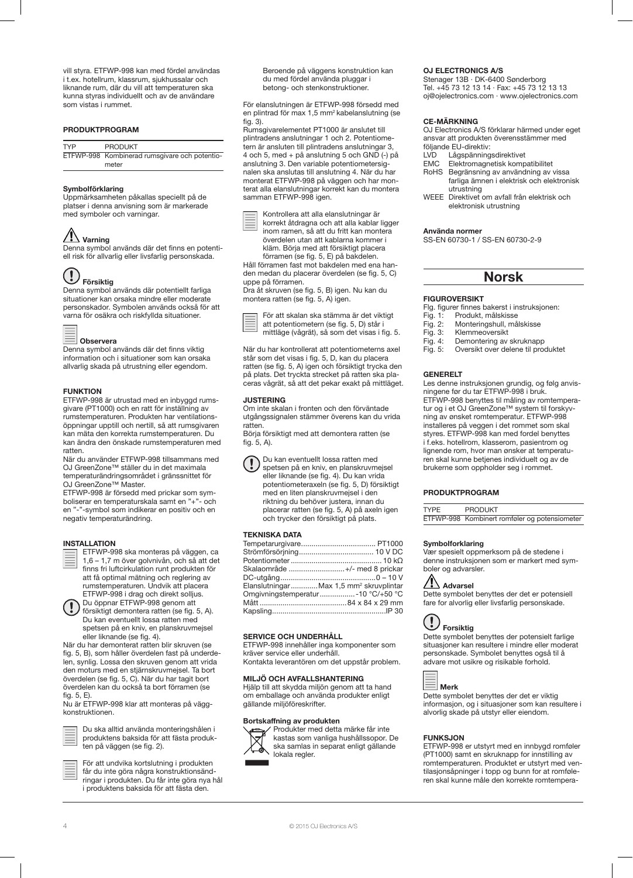vill styra. ETFWP-998 kan med fördel användas i t.ex. hotellrum, klassrum, sjukhussalar och liknande rum, där du vill att temperaturen ska kunna styras individuellt och av de användare som vistas i rummet.

# PRODUKTPROGRAM

| <b>TYP</b> | <b>PRODUKT</b>                                |
|------------|-----------------------------------------------|
|            | ETFWP-998 Kombinerad rumsgivare och potentio- |
|            | meter                                         |

# Symbolförklaring

Uppmärksamheten påkallas speciellt på de platser i denna anvisning som är markerade med symboler och varningar.

# $\sqrt{\phantom{a}}\phantom{a}$  Varning

Denna symbol används där det finns en potentiell risk för allvarlig eller livsfarlig personskada.

#### $\left(\frac{1}{2}\right)$ Försiktig

Denna symbol används där potentiellt farliga situationer kan orsaka mindre eller moderate personskador. Symbolen används också för att .<br>varna för osäkra och riskfyllda situationer.

| Observera |
|-----------|
|           |

Denna symbol används där det finns viktig information och i situationer som kan orsaka allvarlig skada på utrustning eller egendom.

# FUNKTION

ETFWP-998 är utrustad med en inbyggd rumsgivare (PT1000) och en ratt för inställning av rumstemperaturen. Produkten har ventilationsöppningar upptill och nertill, så att rumsgivaren kan mäta den korrekta rumstemperaturen. Du kan ändra den önskade rumstemperaturen med ratten.

När du använder ETFWP-998 tillsammans med OJ GreenZone™ ställer du in det maximala temperaturändringsområdet i gränssnittet för OJ GreenZone™ Master.

ETFWP-998 är försedd med prickar som symboliserar en temperaturskala samt en "+"- och en "-"-symbol som indikerar en positiv och en negativ temperaturändring.

#### INSTALLATION



försiktigt demontera ratten (se fig. 5, A). Du kan eventuellt lossa ratten med spetsen på en kniv, en planskruvmejsel eller liknande (se fig. 4).

När du har demonterat ratten blir skruven (se fig. 5, B), som håller överdelen fast på underdelen, synlig. Lossa den skruven genom att vrida den moturs med en stjärnskruvmejsel. Ta bort överdelen (se fig. 5, C). När du har tagit bort överdelen kan du också ta bort förramen (se fig. 5, E).

Nu är ETFWP-998 klar att monteras på väggkonstruktionen.



Du ska alltid använda monteringshålen i produktens baksida för att fästa produkten på väggen (se fig. 2).

För att undvika kortslutning i produkten får du inte göra några konstruktionsändringar i produkten. Du får inte göra nya hål i produktens baksida för att fästa den.

Beroende på väggens konstruktion kan du med fördel använda pluggar i betong- och stenkonstruktioner.

För elanslutningen är ETFWP-998 försedd med en plintrad för max 1,5 mm2 kabelanslutning (se fig. 3).

Rumsgivarelementet PT1000 är anslutet till plintradens anslutningar 1 och 2. Potentiometern är ansluten till plintradens anslutningar 3, 4 och 5, med + på anslutning 5 och GND (-) på anslutning 3. Den variable potentiometersignalen ska anslutas till anslutning 4. När du har monterat ETFWP-998 på väggen och har monterat alla elanslutningar korrekt kan du montera samman ETFWP-998 igen.



Kontrollera att alla elanslutningar är korrekt åtdragna och att alla kablar ligger inom ramen, så att du fritt kan montera överdelen utan att kablarna kommer i kläm. Börja med att försiktigt placera förramen (se fig. 5, E) på bakdelen.

Håll förramen fast mot bakdelen med ena handen medan du placerar överdelen (se fig. 5, C) uppe på förramen.

Dra åt skruven (se fig. 5, B) igen. Nu kan du montera ratten (se fig. 5, A) igen.



När du har kontrollerat att potentiometerns axel står som det visas i fig. 5, D, kan du placera ratten (se fig. 5, A) igen och försiktigt trycka den på plats. Det tryckta strecket på ratten ska placeras vågrät, så att det pekar exakt på mittläget.

#### **JUSTERING**

Om inte skalan i fronten och den förväntade utgångssignalen stämmer överens kan du vrida ratten.

fig. 5, A).



Du kan eventuellt lossa ratten med spetsen på en kniv, en planskruvmejsel eller liknande (se fig. 4). Du kan vrida potentiometeraxeln (se fig. 5, D) försiktigt med en liten planskruvmejsel i den riktning du behöver justera, innan du placerar ratten (se fig. 5, A) på axeln igen och trycker den försiktigt på plats.

#### TEKNISKA DATA

| Skalaområde +/- med 8 prickar                      |  |
|----------------------------------------------------|--|
|                                                    |  |
| ElanslutningarMax 1,5 mm <sup>2</sup> skruvplintar |  |
|                                                    |  |
|                                                    |  |
|                                                    |  |

# SERVICE OCH UNDERHÅLL

ETFWP-998 innehåller inga komponenter som kräver service eller underhåll.

Kontakta leverantören om det uppstår problem.

# MILJÖ OCH AVFALLSHANTERING

Hjälp till att skydda miljön genom att ta hand om emballage och använda produkter enligt gällande miljöföreskrifter.

#### Bortskaffning av produkten



Produkter med detta märke får inte kastas som vanliga hushållssopor. De ska samlas in separat enligt gällande lokala regler.

# OJ ELECTRONICS A/S

Stenager 13B · DK-6400 Sønderborg Tel. +45 73 12 13 14 · Fax: +45 73 12 13 13 oj@ojelectronics.com · www.ojelectronics.com

# CE-MÄRKNING

OJ Electronics A/S förklarar härmed under eget ansvar att produkten överensstämmer med

- följande EU-direktiv:<br>LVD Lågspänning
- LVD Lågspänningsdirektivet<br>FMC Flektromagnetisk komp
- EMC Elektromagnetisk kompatibilitet<br>RoHS Begränsning av användning av v Begränsning av användning av vissa farliga ämnen i elektrisk och elektronisk utrustning
- WEEE Direktivet om avfall från elektrisk och elektronisk utrustning

#### Använda normer

SS-EN 60730-1 / SS-EN 60730-2-9

# Norsk

# FIGUROVERSIKT

Flg. figurer finnes bakerst i instruksjonen:<br>Fig. 1: Produkt, målskisse

- Produkt, målskisse
- Fig. 2: Monteringshull, målskisse
- Fig. 3: Klemmeoversikt<br>Fig. 4: Demontering av
- Demontering av skruknapp
- Fig. 5: Oversikt over delene til produktet

#### **GENERELT**

Les denne instruksjonen grundig, og følg anvisningene før du tar ETFWP-998 i bruk. ETFWP-998 benyttes til måling av romtemperatur og i et OJ GreenZone™ system til forskyvning av ønsket romtemperatur. ETFWP-998 installeres på veggen i det rommet som skal styres. ETFWP-998 kan med fordel benyttes i f.eks. hotellrom, klasserom, pasientrom og lignende rom, hvor man ønsker at temperaturen skal kunne betjenes individuelt og av de brukerne som oppholder seg i rommet.

### PRODUKTPROGRAM

TYPE PRODUKT ETFWP-998 Kombinert romføler og potensiometer

# Symbolforklaring

Vær spesielt oppmerksom på de stedene i denne instruksjonen som er markert med symboler og advarsler.

# $\langle \cdot \rangle$  Advarsel

Dette symbolet benyttes der det er potensiell fare for alvorlig eller livsfarlig personskade.



Dette symbolet benyttes der potensielt farlige situasjoner kan resultere i mindre eller moderat personskade. Symbolet benyttes også til å advare mot usikre og risikable forhold.



Dette symbolet benyttes der det er viktig informasjon, og i situasjoner som kan resultere i alvorlig skade på utstyr eller eiendom.

# FUNKSJON

ETFWP-998 er utstyrt med en innbygd romføler (PT1000) samt en skruknapp for innstilling av romtemperaturen. Produktet er utstyrt med ventilasjonsåpninger i topp og bunn for at romføleren skal kunne måle den korrekte romtempera-

Börja försiktigt med att demontera ratten (se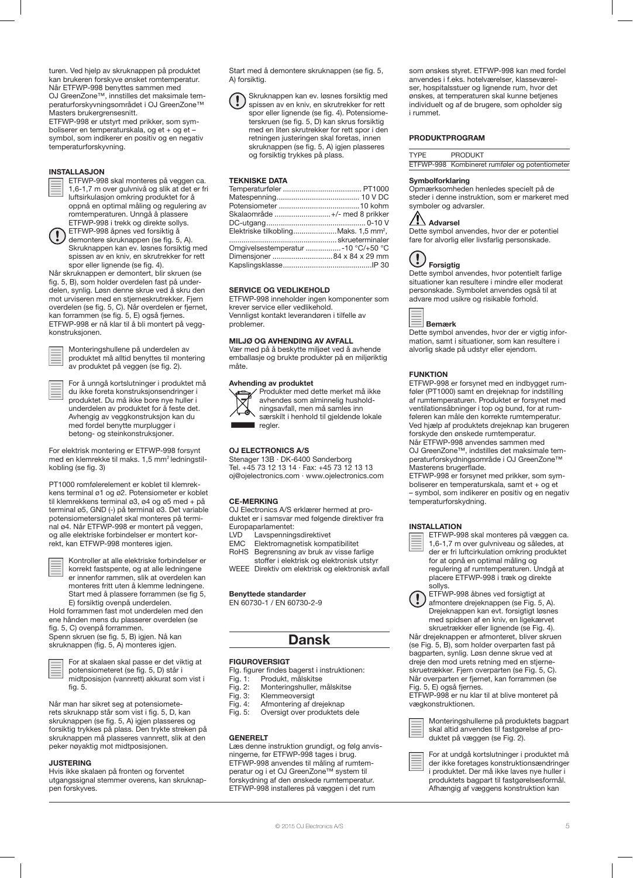turen. Ved hielp av skruknappen på produktet kan brukeren forskyve ønsket romtemperatur. Når ETFWP-998 benyttes sammen med OJ GreenZone™, innstilles det maksimale temperaturforskyvningsområdet i OJ GreenZone™ Masters brukergrensesnitt.

ETFWP-998 er utstyrt med prikker, som symboliserer en temperaturskala, og et + og et – symbol, som indikerer en positiv og en negativ temperaturforskyvning.

# INSTALLASJON

ETFWP-998 skal monteres på veggen ca. 1,6-1,7 m over gulvnivå og slik at det er fri luftsirkulasjon omkring produktet for å oppnå en optimal måling og regulering av romtemperaturen. Unngå å plassere ETFWP-998 i trekk og direkte sollys.

ETFWP-998 åpnes ved forsiktig å demontere skruknappen (se fig. 5, A). Skruknappen kan ev. løsnes forsiktig med spissen av en kniv, en skrutrekker for rett spor eller lignende (se fig. 4).

Når skruknappen er demontert, blir skruen (se fig. 5, B), som holder overdelen fast på underdelen, synlig. Løsn denne skrue ved å skru den mot urviseren med en stjerneskrutrekker. Fjern overdelen (se fig. 5, C). Når overdelen er fjernet, kan forrammen (se fig. 5, E) også fjernes. ETFWP-998 er nå klar til å bli montert på veggkonstruksjonen.

Monteringshullene på underdelen av produktet må alltid benyttes til montering av produktet på veggen (se fig. 2).

For å unngå kortslutninger i produktet må du ikke foreta konstruksjonsendringer i produktet. Du må ikke bore nye huller i underdelen av produktet for å feste det. Avhengig av veggkonstruksjon kan du med fordel benytte murplugger i betong- og steinkonstruksjoner.

For elektrisk montering er ETFWP-998 forsynt med en klemrekke til maks. 1,5 mm<sup>2</sup> ledningstilkobling (se fig. 3)

PT1000 romfølerelement er koblet til klemrekkens terminal ø1 og ø2. Potensiometer er koblet til klemrekkens terminal ø3, ø4 og ø5 med + på terminal ø5, GND (-) på terminal ø3. Det variable potensiometersignalet skal monteres på terminal ø4. Når ETFWP-998 er montert på veggen, og alle elektriske forbindelser er montert korrekt, kan ETFWP-998 monteres igjen.



Kontroller at alle elektriske forbindelser er korrekt fastspente, og at alle ledningene er innenfor rammen, slik at overdelen kan monteres fritt uten å klemme ledningene. Start med å plassere forrammen (se fig 5, E) forsiktig ovenpå underdelen.

Hold forrammen fast mot underdelen med den ene hånden mens du plasserer overdelen (se fig. 5, C) ovenpå forrammen. Spenn skruen (se fig. 5, B) igjen. Nå kan

skruknappen (fig. 5, A) monteres igjen.



For at skalaen skal passe er det viktig at potensiometeret (se fig. 5, D) står i midtposisjon (vannrett) akkurat som vist i fig. 5.

Når man har sikret seg at potensiometerets skruknapp står som vist i fig. 5, D, kan skruknappen (se fig. 5, A) igjen plasseres og forsiktig trykkes på plass. Den trykte streken på skruknappen må plasseres vannrett, slik at den peker nøyaktig mot midtposisjonen.

# JUSTERING

Hvis ikke skalaen på fronten og forventet utgangssignal stemmer overens, kan skruknappen forskyves.

Start med å demontere skruknappen (se fig. 5, A) forsiktig.

Skruknappen kan ev. løsnes forsiktig med spissen av en kniv, en skrutrekker for rett spor eller lignende (se fig. 4). Potensiometerskruen (se fig. 5, D) kan skrus forsiktig med en liten skrutrekker for rett spor i den retningen justeringen skal foretas, innen skruknappen (se fig. 5, A) igjen plasseres og forsiktig trykkes på plass.

# TEKNISKE DATA

| Skalaområde +/- med 8 prikker                    |  |
|--------------------------------------------------|--|
|                                                  |  |
| Elektriske tilkoblingMaks. 1,5 mm <sup>2</sup> , |  |
|                                                  |  |
| Omgivelsestemperatur 10 °C/+50 °C                |  |
|                                                  |  |
|                                                  |  |

#### SERVICE OG VEDLIKEHOLD

ETFWP-998 inneholder ingen komponenter som krever service eller vedlikehold. Vennligst kontakt leverandøren i tilfelle av problemer.

# MILJØ OG AVHENDING AV AVFALL

Vær med på å beskytte miljøet ved å avhende emballasje og brukte produkter på en miljøriktig måte.

# Avhending av produktet



Produkter med dette merket må ikke avhendes som alminnelig husholdningsavfall, men må samles inn særskilt i henhold til gjeldende lokale regler.

# OJ ELECTRONICS A/S

Stenager 13B · DK-6400 Sønderborg Tel. +45 73 12 13 14 · Fax: +45 73 12 13 13 oj@ojelectronics.com · www.ojelectronics.com

## CE-MERKING

OJ Electronics A/S erklærer hermed at produktet er i samsvar med følgende direktiver fra Europaparlamentet:<br>LVD Lavspenning

- LVD Lavspenningsdirektivet<br>EMC Elektromagnetisk komp
- EMC Elektromagnetisk kompatibilitet<br>RoHS Begrensning av bruk av visse fa Begrensning av bruk av visse farlige stoffer i elektrisk og elektronisk utstyr

WEEE Direktiv om elektrisk og elektronisk avfall

# Benyttede standarder

EN 60730-1 / EN 60730-2-9

# Dansk

#### FIGUROVERSIGT

- Flg. figurer findes bagerst i instruktionen:<br>Fig. 1: Produkt, målskitse
- Fig. 1: Produkt, målskitse<br>Fig. 2: Monteringshuller, n
- Fig. 2: Monteringshuller, målskitse<br>Fig. 3: Klemmeoversigt
- Klemmeoversigt
- Fig. 4: Afmontering af drejeknap
- Fig. 5: Oversigt over produktets dele

#### **GENERELT**

Læs denne instruktion grundigt, og følg anvisningerne, før ETFWP-998 tages i brug. ETFWP-998 anvendes til måling af rumtemperatur og i et OJ GreenZone™ system til forskydning af den ønskede rumtemperatur. ETFWP-998 installeres på væggen i det rum

som ønskes styret. ETFWP-998 kan med fordel anvendes i f.eks. hotelværelser, klasseværelser, hospitalsstuer og lignende rum, hvor det ønskes, at temperaturen skal kunne betjenes individuelt og af de brugere, som opholder sig i rummet.

# PRODUKTPROGRAM

| <b>TYPF</b> | <b>PRODUKT</b>                                 |
|-------------|------------------------------------------------|
|             | ETFWP-998 Kombineret rumføler og potentiometer |

#### Symbolforklaring

Opmærksomheden henledes specielt på de steder i denne instruktion, som er markeret med symboler og advarsler.

# Advarsel

Dette symbol anvendes, hvor der er potentiel fare for alvorlig eller livsfarlig personskade.



Dette symbol anvendes, hvor potentielt farlige situationer kan resultere i mindre eller moderat personskade. Symbolet anvendes også til at advare mod usikre og risikable forhold.



Dette symbol anvendes, hvor der er vigtig information, samt i situationer, som kan resultere i alvorlig skade på udstyr eller ejendom.

#### FUNKTION

ETFWP-998 er forsynet med en indbygget rumføler (PT1000) samt en drejeknap for indstilling af rumtemperaturen. Produktet er forsynet med ventilationsåbninger i top og bund, for at rumføleren kan måle den korrekte rumtemperatur. Ved hjælp af produktets drejeknap kan brugeren forskyde den ønskede rumtemperatur.

Når ETFWP-998 anvendes sammen med OJ GreenZone™, indstilles det maksimale temperaturforskydningsområde i OJ GreenZone™ Masterens brugerflade.

ETFWP-998 er forsynet med prikker, som symboliserer en temperaturskala, samt et + og et – symbol, som indikerer en positiv og en negativ temperaturforskydning.

# INSTALLATION

ETFWP-998 skal monteres på væggen ca. 1,6-1,7 m over gulvniveau og således, at der er fri luftcirkulation omkring produktet for at opnå en optimal måling og regulering af rumtemperaturen. Undgå at placere ETFWP-998 i træk og direkte .<br>sollys.

ETFWP-998 åbnes ved forsigtigt at afmontere drejeknappen (se Fig. 5, A). Drejeknappen kan evt. forsigtigt løsnes med spidsen af en kniv, en ligekærvet skruetrækker eller lignende (se Fig. 4).

Når drejeknappen er afmonteret, bliver skruen (se Fig. 5, B), som holder overparten fast på bagparten, synlig. Løsn denne skrue ved at dreje den mod urets retning med en stjerneskruetrækker. Fjern overparten (se Fig. 5, C). Når overparten er fjernet, kan forrammen (se Fig. 5, E) også fjernes.

ETFWP-998 er nu klar til at blive monteret på vægkonstruktionen.

Monteringshullerne på produktets bagpart skal altid anvendes til fastgørelse af produktet på væggen (se Fig. 2).

For at undgå kortslutninger i produktet må der ikke foretages konstruktionsændringer i produktet. Der må ikke laves nye huller i produktets bagpart til fastgørelsesformål. Afhængig af væggens konstruktion kan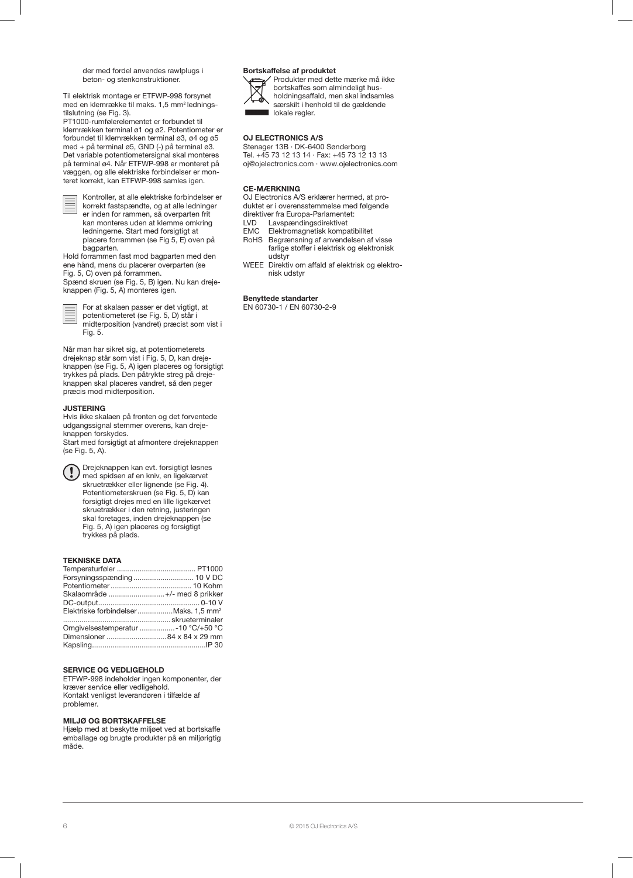der med fordel anvendes rawlplugs i beton- og stenkonstruktioner.

Til elektrisk montage er ETFWP-998 forsynet med en klemrække til maks. 1,5 mm<sup>2</sup> ledningstilslutning (se Fig. 3).

PT1000-rumfølerelementet er forbundet til klemrækken terminal ø1 og ø2. Potentiometer er forbundet til klemrækken terminal ø3, ø4 og ø5 med + på terminal ø5, GND (-) på terminal ø3. Det variable potentiometersignal skal monteres på terminal ø4. Når ETFWP-998 er monteret på væggen, og alle elektriske forbindelser er monteret korrekt, kan ETFWP-998 samles igen.

Kontroller, at alle elektriske forbindelser er korrekt fastspændte, og at alle ledninger er inden for rammen, så overparten frit kan monteres uden at klemme omkring ledningerne. Start med forsigtigt at placere forrammen (se Fig 5, E) oven på bagparten.

Hold forrammen fast mod bagparten med den ene hånd, mens du placerer overparten (se Fig. 5, C) oven på forrammen.

Spænd skruen (se Fig. 5, B) igen. Nu kan drejeknappen (Fig. 5, A) monteres igen.

For at skalaen passer er det vigtigt, at potentiometeret (se Fig. 5, D) står i midterposition (vandret) præcist som vist i Fig. 5.

Når man har sikret sig, at potentiometerets drejeknap står som vist i Fig. 5, D, kan drejeknappen (se Fig. 5, A) igen placeres og forsigtigt trykkes på plads. Den påtrykte streg på drejeknappen skal placeres vandret, så den peger præcis mod midterposition.

# **JUSTERING**

Hvis ikke skalaen på fronten og det forventede udgangssignal stemmer overens, kan drejeknappen forskydes. Start med forsigtigt at afmontere drejeknappen

(se Fig. 5, A).

Drejeknappen kan evt. forsigtigt løsnes med spidsen af en kniv, en ligekærvet skruetrækker eller lignende (se Fig. 4). Potentiometerskruen (se Fig. 5, D) kan forsigtigt drejes med en lille ligekærvet skruetrækker i den retning, justeringen skal foretages, inden drejeknappen (se Fig. 5, A) igen placeres og forsigtigt trykkes på plads.

# TEKNISKE DATA

| Skalaområde +/- med 8 prikker                     |  |
|---------------------------------------------------|--|
|                                                   |  |
| Elektriske forbindelser Maks. 1.5 mm <sup>2</sup> |  |
|                                                   |  |
| Omgivelsestemperatur -10 °C/+50 °C                |  |
|                                                   |  |
|                                                   |  |
|                                                   |  |

# SERVICE OG VEDLIGEHOLD

ETFWP-998 indeholder ingen komponenter, der kræver service eller vedligehold. Kontakt venligst leverandøren i tilfælde af problemer.

# MILJØ OG BORTSKAFFELSE

Hjælp med at beskytte miljøet ved at bortskaffe emballage og brugte produkter på en miljørigtig måde.

#### Bortskaffelse af produktet Produkter med dette mærke må ikke



bortskaffes som almindeligt husholdningsaffald, men skal indsamles særskilt i henhold til de gældende lokale regler.

# OJ ELECTRONICS A/S

Stenager 13B · DK-6400 Sønderborg Tel. +45 73 12 13 14 · Fax: +45 73 12 13 13 oj@ojelectronics.com · www.ojelectronics.com

# CE-MÆRKNING

OJ Electronics A/S erklærer hermed, at produktet er i overensstemmelse med følgende

direktiver fra Europa-Parlamentet:<br>I VD I avspændingsdirektivet

- LVD Lavspændingsdirektivet<br>EMC Elektromaanetisk kompa
- EMC Elektromagnetisk kompatibilitet<br>RoHS Begrænsning af anvendelsen af Begrænsning af anvendelsen af visse farlige stoffer i elektrisk og elektronisk udstyr
- WEEE Direktiv om affald af elektrisk og elektronisk udstyr

Benyttede standarter EN 60730-1 / EN 60730-2-9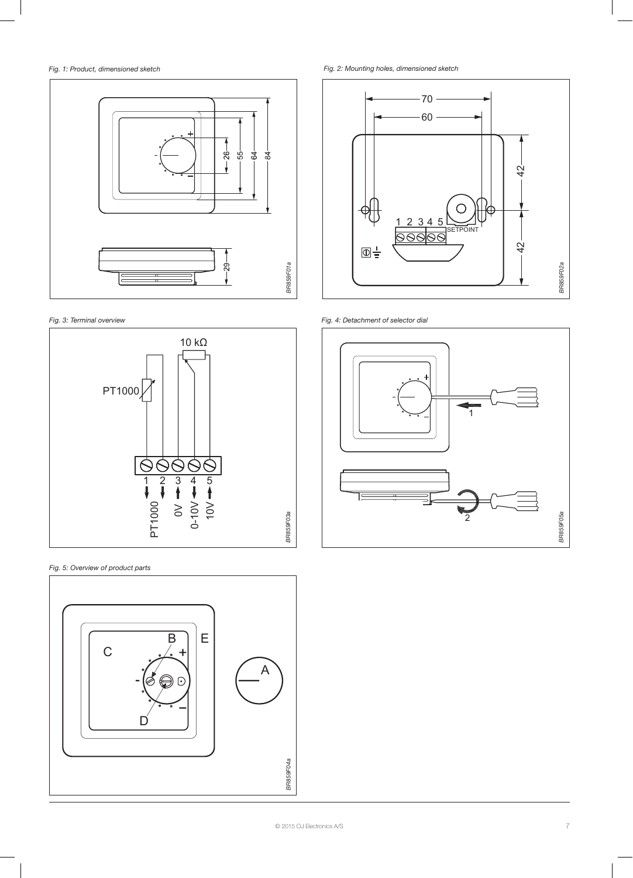# *Fig. 1: Product, dimensioned sketch*



*Fig. 3: Terminal overview*



*Fig. 5: Overview of product parts*



*Fig. 2: Mounting holes, dimensioned sketch* 



*Fig. 4: Detachment of selector dial*